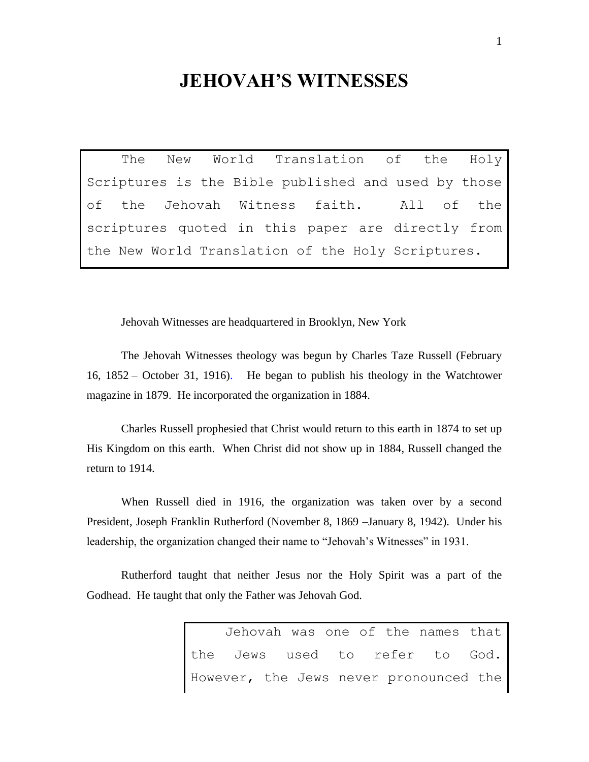## **JEHOVAH'S WITNESSES**

The New World Translation of the Holy Scriptures is the Bible published and used by those of the Jehovah Witness faith. All of the scriptures quoted in this paper are directly from the New World Translation of the Holy Scriptures.

Jehovah Witnesses are headquartered in Brooklyn, New York

The Jehovah Witnesses theology was begun by Charles Taze Russell (February 16, 1852 – October 31, 1916). He began to publish his theology in the Watchtower magazine in 1879. He incorporated the organization in 1884.

Charles Russell prophesied that Christ would return to this earth in 1874 to set up His Kingdom on this earth. When Christ did not show up in 1884, Russell changed the return to 1914.

When Russell died in 1916, the organization was taken over by a second President, Joseph Franklin Rutherford (November 8, 1869 –January 8, 1942). Under his leadership, the organization changed their name to "Jehovah's Witnesses" in 1931.

Rutherford taught that neither Jesus nor the Holy Spirit was a part of the Godhead. He taught that only the Father was Jehovah God.

> Jehovah was one of the names that the Jews used to refer to God. However, the Jews never pronounced the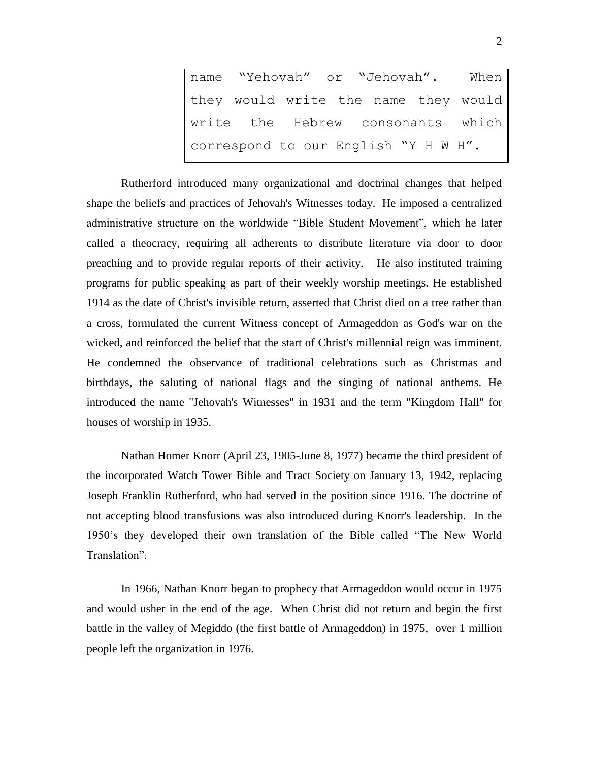name "Yehovah" or "Jehovah". When they would write the name they would write the Hebrew consonants which correspond to our English "Y H W H".

Rutherford introduced many organizational and doctrinal changes that helped shape the beliefs and practices of Jehovah's Witnesses today. He imposed a centralized administrative structure on the worldwide "Bible Student Movement", which he later called a [theocracy,](http://en.wikipedia.org/wiki/Theocracy) requiring all adherents to distribute literature via door to door preaching and to provide regular reports of their activity. He also instituted training programs for public speaking as part of their weekly worship meetings. He established 1914 as the date of Christ's invisible return, asserted that Christ died on a [tree rather than](http://en.wikipedia.org/wiki/Dispute_about_the_shape_of_the_gibbet_of_Jesus)  [a cross,](http://en.wikipedia.org/wiki/Dispute_about_the_shape_of_the_gibbet_of_Jesus) formulated the current Witness concept of [Armageddon](http://en.wikipedia.org/wiki/Armageddon) as God's war on the wicked, and reinforced the belief that the start of Christ's millennial reign was imminent. He condemned the observance of traditional celebrations such as Christmas and birthdays, the saluting of national flags and the singing of national anthems. He introduced the name "Jehovah's Witnesses" in 1931 and the term ["Kingdom Hall"](http://en.wikipedia.org/wiki/Kingdom_Hall) for houses of worship in 1935.

Nathan Homer Knorr (April 23, 1905-June 8, 1977) became the third president of the incorporated Watch Tower Bible and Tract Society on January 13, 1942, replacing [Joseph Franklin Rutherford,](http://en.wikipedia.org/wiki/Joseph_Franklin_Rutherford) who had served in the position since 1916. The doctrine of [not accepting blood transfusions](http://en.wikipedia.org/wiki/Jehovah%27s_Witnesses_and_blood_transfusions) was also introduced during Knorr's leadership. In the 1950's they developed their own translation of the Bible called "The New World Translation".

In 1966, Nathan Knorr began to prophecy that Armageddon would occur in 1975 and would usher in the end of the age. When Christ did not return and begin the first battle in the valley of Megiddo (the first battle of Armageddon) in 1975, over 1 million people left the organization in 1976.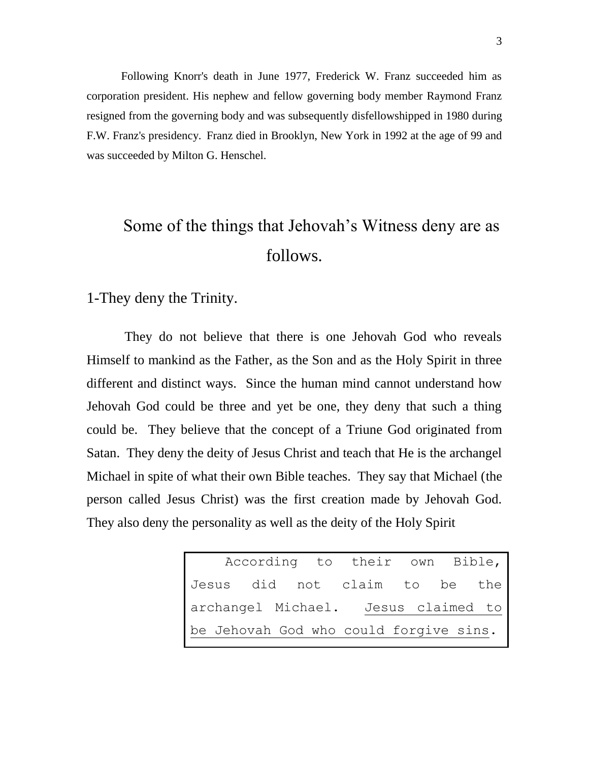Following Knorr's death in June 1977, Frederick W. Franz succeeded him as corporation president. His nephew and fellow governing body member [Raymond Franz](http://en.wikipedia.org/wiki/Raymond_Franz) resigned from the governing body and was subsequently [disfellowshipped](http://en.wikipedia.org/wiki/Jehovah%27s_Witnesses_and_congregational_discipline) in [1980](http://en.wikipedia.org/wiki/1980) during F.W. Franz's presidency. Franz died in [Brooklyn,](http://en.wikipedia.org/wiki/Brooklyn) [New York](http://en.wikipedia.org/wiki/New_York) in 1992 at the age of 99 and was succeeded by [Milton G. Henschel.](http://en.wikipedia.org/wiki/Milton_G._Henschel)

# Some of the things that Jehovah's Witness deny are as follows.

1-They deny the Trinity.

They do not believe that there is one Jehovah God who reveals Himself to mankind as the Father, as the Son and as the Holy Spirit in three different and distinct ways. Since the human mind cannot understand how Jehovah God could be three and yet be one, they deny that such a thing could be. They believe that the concept of a Triune God originated from Satan. They deny the deity of Jesus Christ and teach that He is the archangel Michael in spite of what their own Bible teaches. They say that Michael (the person called Jesus Christ) was the first creation made by Jehovah God. They also deny the personality as well as the deity of the Holy Spirit

> According to their own Bible, Jesus did not claim to be the archangel Michael. Jesus claimed to be Jehovah God who could forgive sins.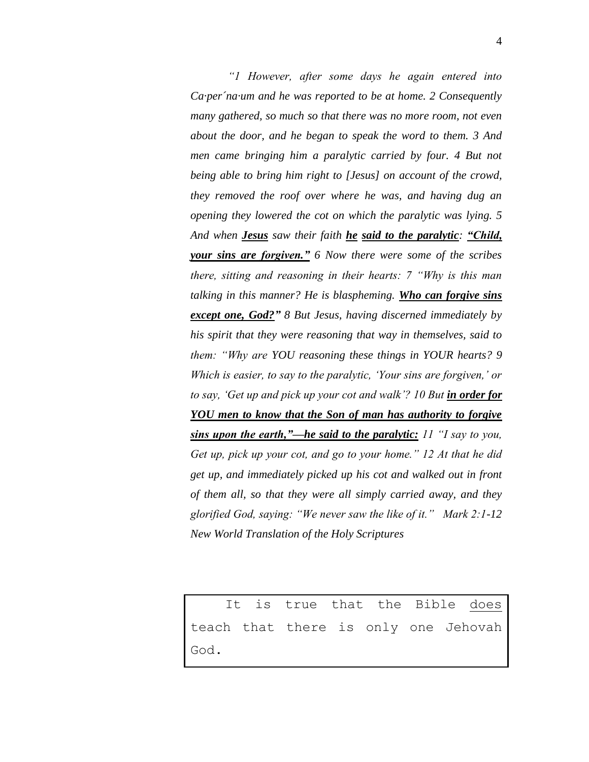*"1 However, after some days he again entered into Ca·per´na·um and he was reported to be at home. 2 Consequently many gathered, so much so that there was no more room, not even about the door, and he began to speak the word to them. 3 And*  men came bringing him a paralytic carried by four. 4 But not *being able to bring him right to [Jesus] on account of the crowd, they removed the roof over where he was, and having dug an opening they lowered the cot on which the paralytic was lying. 5 And when Jesus saw their faith he said to the paralytic: "Child, your sins are forgiven." 6 Now there were some of the scribes there, sitting and reasoning in their hearts: 7 "Why is this man talking in this manner? He is blaspheming. Who can forgive sins except one, God?" 8 But Jesus, having discerned immediately by his spirit that they were reasoning that way in themselves, said to them: "Why are YOU reasoning these things in YOUR hearts? 9 Which is easier, to say to the paralytic, 'Your sins are forgiven,' or to say, 'Get up and pick up your cot and walk'? 10 But in order for YOU men to know that the Son of man has authority to forgive sins upon the earth,"—he said to the paralytic: 11 "I say to you, Get up, pick up your cot, and go to your home." 12 At that he did get up, and immediately picked up his cot and walked out in front of them all, so that they were all simply carried away, and they glorified God, saying: "We never saw the like of it." Mark 2:1-12 New World Translation of the Holy Scriptures*

It is true that the Bible does teach that there is only one Jehovah God.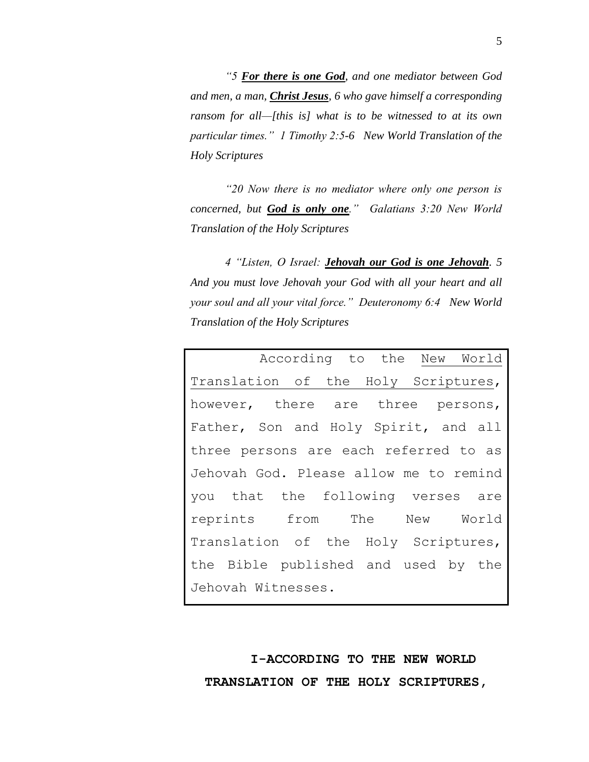*"5 For there is one God, and one mediator between God and men, a man, Christ Jesus, 6 who gave himself a corresponding ransom for all—[this is] what is to be witnessed to at its own particular times." 1 Timothy 2:5-6 New World Translation of the Holy Scriptures*

*"20 Now there is no mediator where only one person is concerned, but God is only one." Galatians 3:20 New World Translation of the Holy Scriptures* 

*4 "Listen, O Israel: Jehovah our God is one Jehovah. 5 And you must love Jehovah your God with all your heart and all your soul and all your vital force." Deuteronomy 6:4 New World Translation of the Holy Scriptures* 

|                                        |  | According to the New World |  |  |  |  |  |
|----------------------------------------|--|----------------------------|--|--|--|--|--|
| Translation of the Holy Scriptures,    |  |                            |  |  |  |  |  |
| however, there are three persons,      |  |                            |  |  |  |  |  |
| Father, Son and Holy Spirit, and all   |  |                            |  |  |  |  |  |
| three persons are each referred to as  |  |                            |  |  |  |  |  |
| Jehovah God. Please allow me to remind |  |                            |  |  |  |  |  |
| you that the following verses are      |  |                            |  |  |  |  |  |
| reprints from The New World            |  |                            |  |  |  |  |  |
| Translation of the Holy Scriptures,    |  |                            |  |  |  |  |  |
| the Bible published and used by the    |  |                            |  |  |  |  |  |
| Jehovah Witnesses.                     |  |                            |  |  |  |  |  |

**I-ACCORDING TO THE NEW WORLD TRANSLATION OF THE HOLY SCRIPTURES,**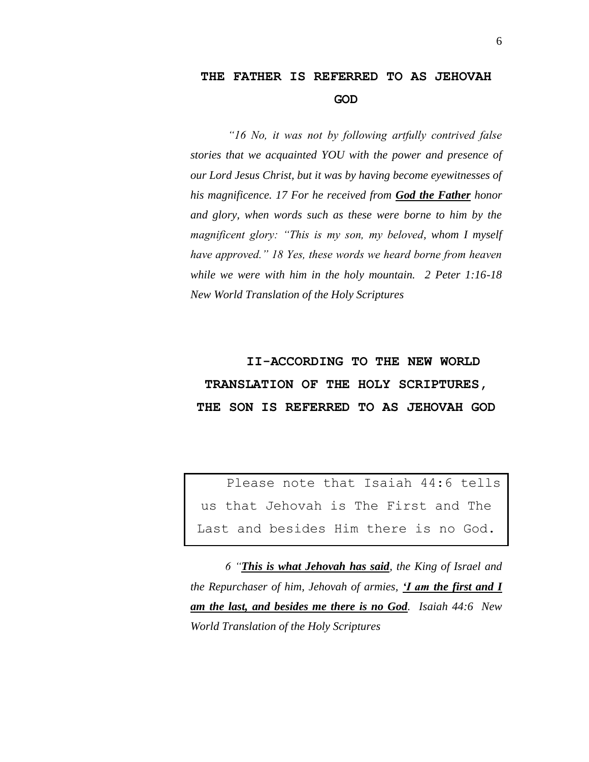#### **THE FATHER IS REFERRED TO AS JEHOVAH GOD**

*"16 No, it was not by following artfully contrived false stories that we acquainted YOU with the power and presence of our Lord Jesus Christ, but it was by having become eyewitnesses of his magnificence. 17 For he received from God the Father honor and glory, when words such as these were borne to him by the magnificent glory: "This is my son, my beloved, whom I myself have approved." 18 Yes, these words we heard borne from heaven while we were with him in the holy mountain. 2 Peter 1:16-18 New World Translation of the Holy Scriptures*

## **II-ACCORDING TO THE NEW WORLD TRANSLATION OF THE HOLY SCRIPTURES, THE SON IS REFERRED TO AS JEHOVAH GOD**

Please note that Isaiah 44:6 tells us that Jehovah is The First and The Last and besides Him there is no God.

*6 "This is what Jehovah has said, the King of Israel and the Repurchaser of him, Jehovah of armies, 'I am the first and I am the last, and besides me there is no God. Isaiah 44:6 New World Translation of the Holy Scriptures*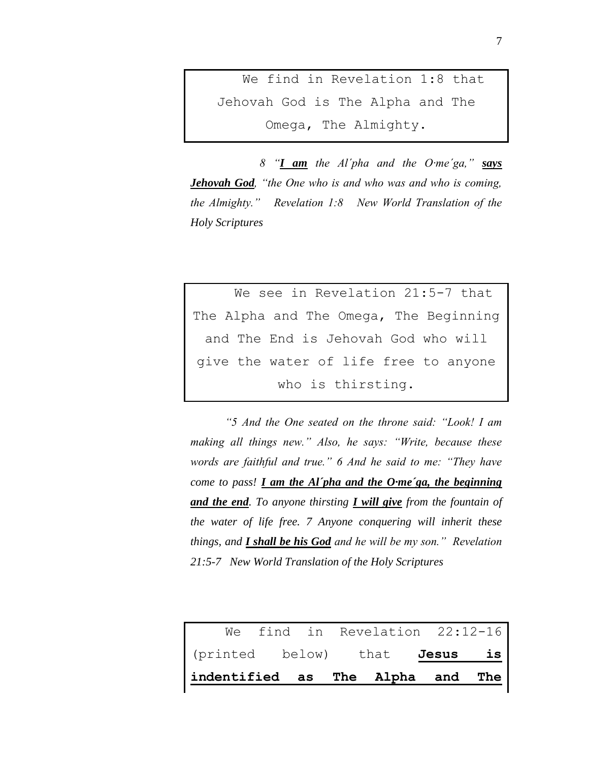We find in Revelation 1:8 that Jehovah God is The Alpha and The Omega, The Almighty.

*8 "I am the Al´pha and the O·me´ga," says Jehovah God, "the One who is and who was and who is coming, the Almighty." Revelation 1:8 New World Translation of the Holy Scriptures*

We see in Revelation 21:5-7 that The Alpha and The Omega, The Beginning and The End is Jehovah God who will give the water of life free to anyone who is thirsting.

*"5 And the One seated on the throne said: "Look! I am making all things new." Also, he says: "Write, because these words are faithful and true." 6 And he said to me: "They have come to pass! I am the Al´pha and the O·me´ga, the beginning and the end. To anyone thirsting I will give from the fountain of the water of life free. 7 Anyone conquering will inherit these things, and I shall be his God and he will be my son." Revelation 21:5-7 New World Translation of the Holy Scriptures*

|                                  |  | We find in Revelation 22:12-16 |          |  |
|----------------------------------|--|--------------------------------|----------|--|
| (printed below) that             |  |                                | Jesus is |  |
| indentified as The Alpha and The |  |                                |          |  |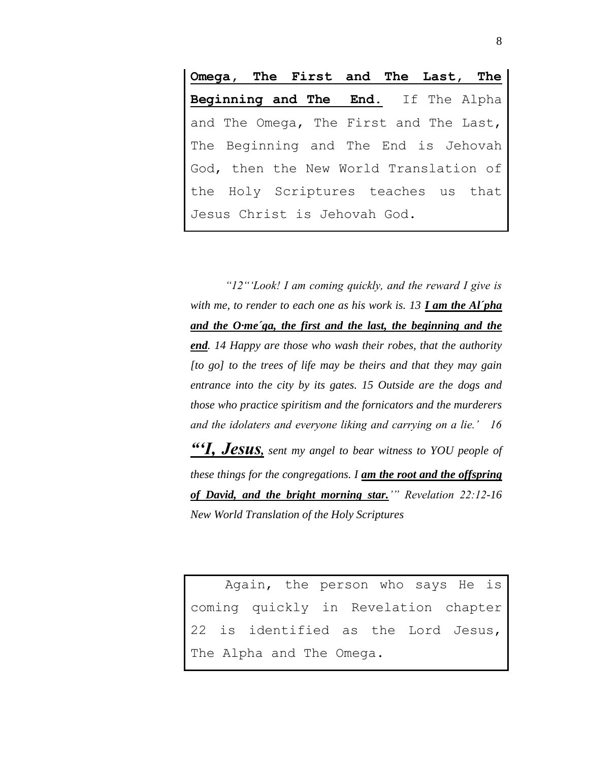**Omega, The First and The Last, The Beginning and The End.** If The Alpha and The Omega, The First and The Last, The Beginning and The End is Jehovah God, then the New World Translation of the Holy Scriptures teaches us that Jesus Christ is Jehovah God.

*"12"'Look! I am coming quickly, and the reward I give is with me, to render to each one as his work is. 13 I am the Al´pha and the O·me´ga, the first and the last, the beginning and the end. 14 Happy are those who wash their robes, that the authority [to go] to the trees of life may be theirs and that they may gain entrance into the city by its gates. 15 Outside are the dogs and those who practice spiritism and the fornicators and the murderers and the idolaters and everyone liking and carrying on a lie.' 16 "'I, Jesus, sent my angel to bear witness to YOU people of these things for the congregations. I am the root and the offspring of David, and the bright morning star.'" Revelation 22:12-16 New World Translation of the Holy Scriptures*

Again, the person who says He is coming quickly in Revelation chapter is identified as the Lord Jesus, The Alpha and The Omega.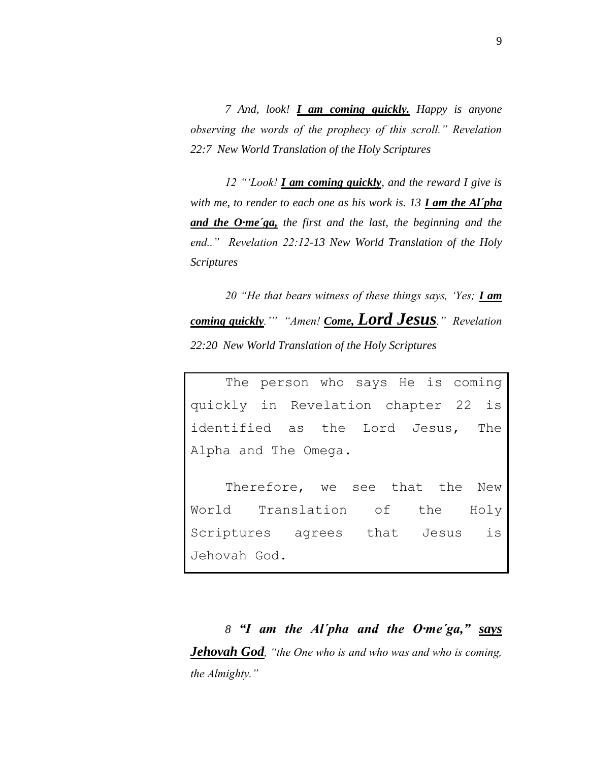*7 And, look! I am coming quickly. Happy is anyone observing the words of the prophecy of this scroll." Revelation 22:7 New World Translation of the Holy Scriptures*

*12 "'Look! I am coming quickly, and the reward I give is with me, to render to each one as his work is. 13 I am the Al´pha and the O·me´ga, the first and the last, the beginning and the end.." Revelation 22:12-13 New World Translation of the Holy Scriptures* 

*20 "He that bears witness of these things says, 'Yes; I am coming quickly.'" "Amen! Come, Lord Jesus." Revelation 22:20 New World Translation of the Holy Scriptures*

The person who says He is coming quickly in Revelation chapter 22 is identified as the Lord Jesus, The Alpha and The Omega.

Therefore, we see that the New World Translation of the Holy Scriptures agrees that Jesus is Jehovah God.

*8 "I am the Al´pha and the O·me´ga," says Jehovah God, "the One who is and who was and who is coming, the Almighty."*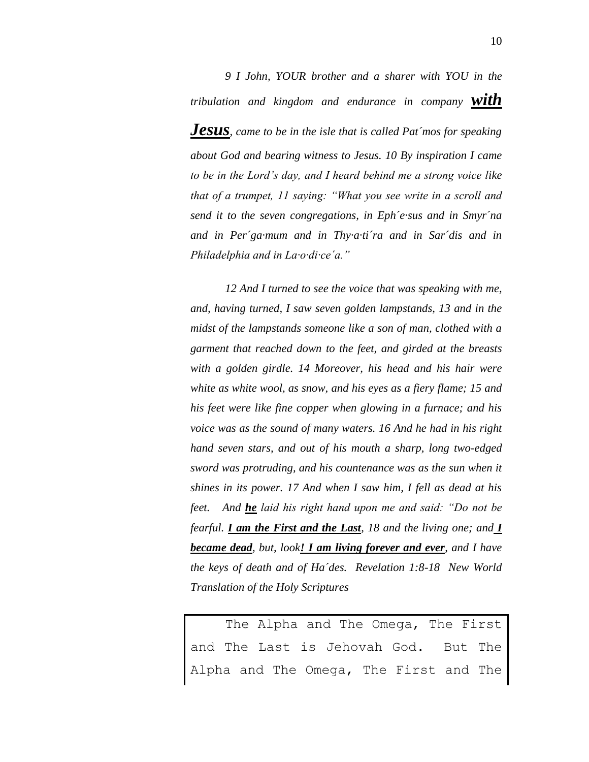*9 I John, YOUR brother and a sharer with YOU in the tribulation and kingdom and endurance in company with Jesus, came to be in the isle that is called Pat´mos for speaking about God and bearing witness to Jesus. 10 By inspiration I came to be in the Lord's day, and I heard behind me a strong voice like that of a trumpet, 11 saying: "What you see write in a scroll and send it to the seven congregations, in Eph´e·sus and in Smyr´na and in Per´ga·mum and in Thy·a·ti´ra and in Sar´dis and in Philadelphia and in La·o·di·ce´a."* 

*12 And I turned to see the voice that was speaking with me, and, having turned, I saw seven golden lampstands, 13 and in the midst of the lampstands someone like a son of man, clothed with a garment that reached down to the feet, and girded at the breasts with a golden girdle. 14 Moreover, his head and his hair were white as white wool, as snow, and his eyes as a fiery flame; 15 and his feet were like fine copper when glowing in a furnace; and his voice was as the sound of many waters. 16 And he had in his right hand seven stars, and out of his mouth a sharp, long two-edged sword was protruding, and his countenance was as the sun when it shines in its power. 17 And when I saw him, I fell as dead at his feet. And he laid his right hand upon me and said: "Do not be fearful. I am the First and the Last, 18 and the living one; and I became dead, but, look! I am living forever and ever, and I have the keys of death and of Ha´des. Revelation 1:8-18 New World Translation of the Holy Scriptures*

The Alpha and The Omega, The First and The Last is Jehovah God. But The Alpha and The Omega, The First and The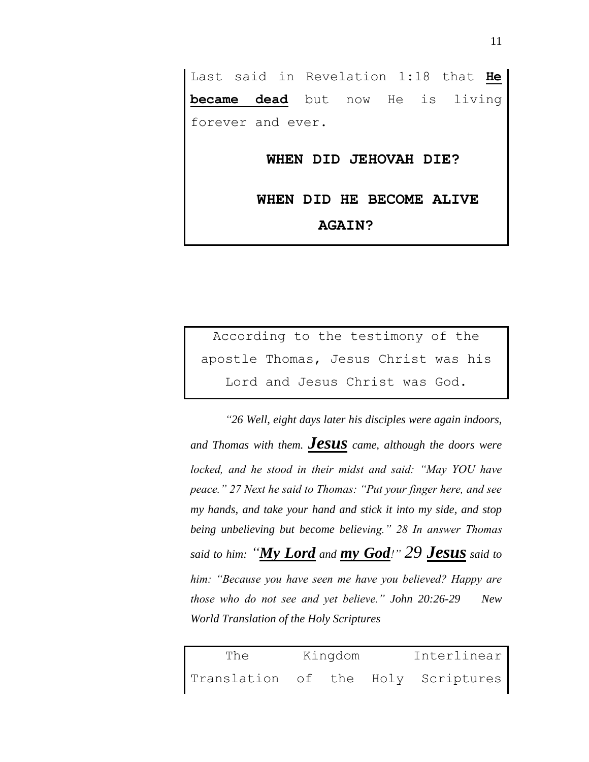Last said in Revelation 1:18 that **He became dead** but now He is living forever and ever.

**WHEN DID JEHOVAH DIE?** 

**WHEN DID HE BECOME ALIVE AGAIN?**

According to the testimony of the apostle Thomas, Jesus Christ was his Lord and Jesus Christ was God.

*"26 Well, eight days later his disciples were again indoors, and Thomas with them. Jesus came, although the doors were locked, and he stood in their midst and said: "May YOU have peace." 27 Next he said to Thomas: "Put your finger here, and see my hands, and take your hand and stick it into my side, and stop being unbelieving but become believing." 28 In answer Thomas said to him: "My Lord and my God!" 29 Jesus said to him: "Because you have seen me have you believed? Happy are those who do not see and yet believe." John 20:26-29 New World Translation of the Holy Scriptures*

| The                                | Kingdom | Interlinear |  |  |
|------------------------------------|---------|-------------|--|--|
| Translation of the Holy Scriptures |         |             |  |  |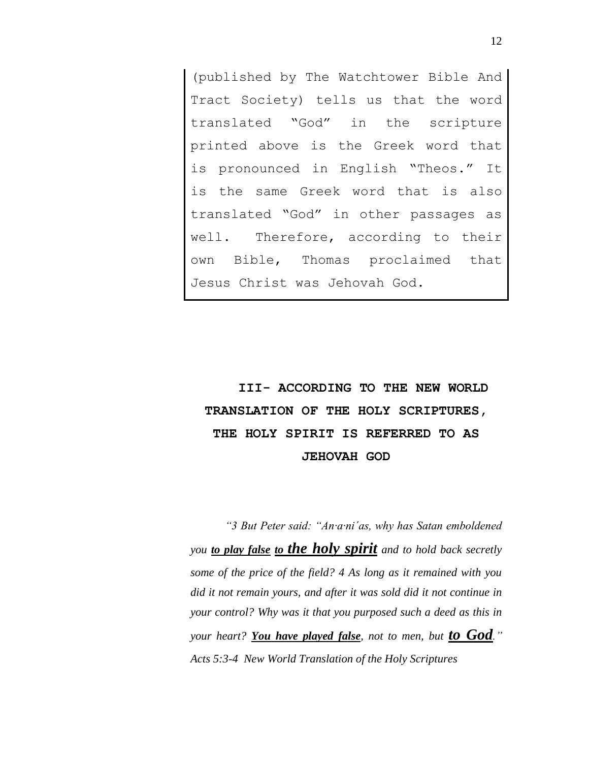(published by The Watchtower Bible And Tract Society) tells us that the word translated "God" in the scripture printed above is the Greek word that is pronounced in English "Theos." It is the same Greek word that is also translated "God" in other passages as well. Therefore, according to their own Bible, Thomas proclaimed that Jesus Christ was Jehovah God.

## **III- ACCORDING TO THE NEW WORLD TRANSLATION OF THE HOLY SCRIPTURES, THE HOLY SPIRIT IS REFERRED TO AS JEHOVAH GOD**

*"3 But Peter said: "An·a·ni´as, why has Satan emboldened you to play false to the holy spirit and to hold back secretly some of the price of the field? 4 As long as it remained with you did it not remain yours, and after it was sold did it not continue in your control? Why was it that you purposed such a deed as this in your heart? You have played false, not to men, but to God." Acts 5:3-4 New World Translation of the Holy Scriptures*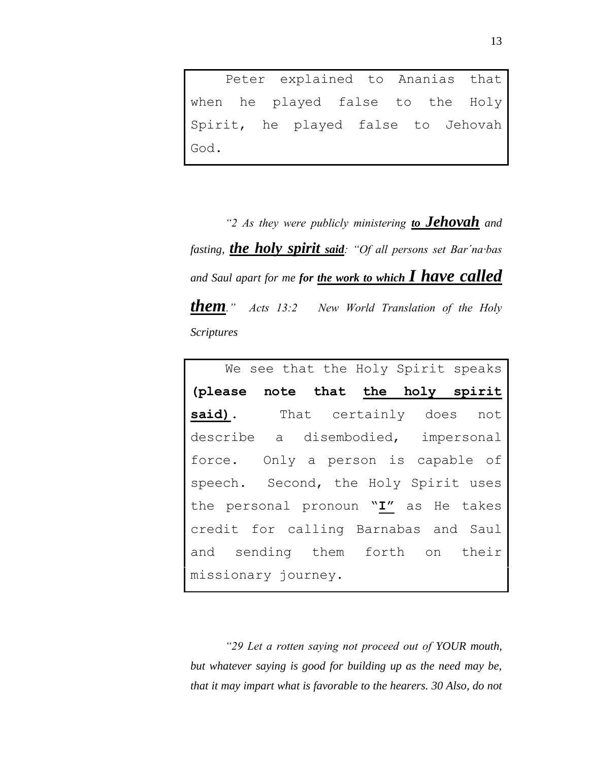Peter explained to Ananias that when he played false to the Holy Spirit, he played false to Jehovah God.

*"2 As they were publicly ministering to Jehovah and fasting, the holy spirit said: "Of all persons set Bar´na·bas and Saul apart for me for the work to which I have called them." Acts 13:2 New World Translation of the Holy Scriptures*

We see that the Holy Spirit speaks **(please note that the holy spirit**  said). That certainly does not describe a disembodied, impersonal force. Only a person is capable of speech. Second, the Holy Spirit uses the personal pronoun "**I"** as He takes credit for calling Barnabas and Saul and sending them forth on their missionary journey.

*"29 Let a rotten saying not proceed out of YOUR mouth, but whatever saying is good for building up as the need may be, that it may impart what is favorable to the hearers. 30 Also, do not*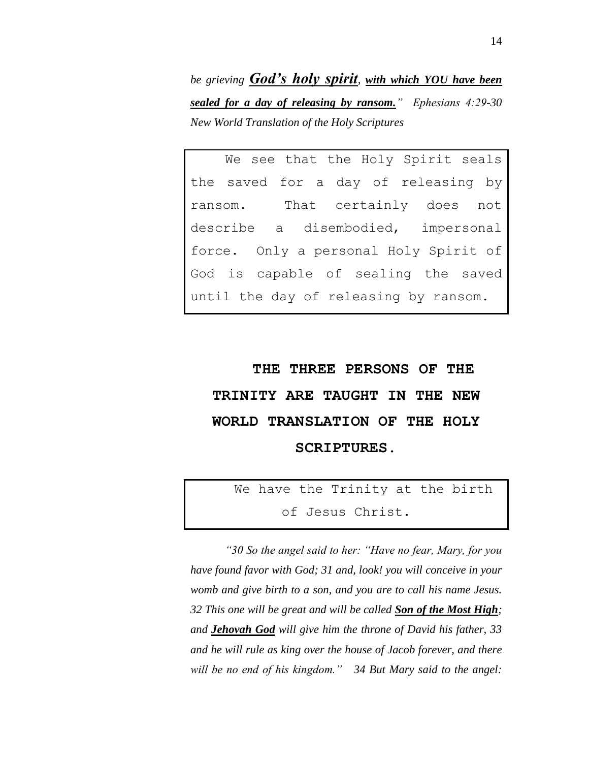*be grieving God's holy spirit, with which YOU have been sealed for a day of releasing by ransom." Ephesians 4:29-30 New World Translation of the Holy Scriptures*

We see that the Holy Spirit seals the saved for a day of releasing by ransom. That certainly does not describe a disembodied, impersonal force. Only a personal Holy Spirit of God is capable of sealing the saved until the day of releasing by ransom.

# **THE THREE PERSONS OF THE TRINITY ARE TAUGHT IN THE NEW WORLD TRANSLATION OF THE HOLY SCRIPTURES.**

We have the Trinity at the birth of Jesus Christ.

*"30 So the angel said to her: "Have no fear, Mary, for you have found favor with God; 31 and, look! you will conceive in your womb and give birth to a son, and you are to call his name Jesus. 32 This one will be great and will be called Son of the Most High; and Jehovah God will give him the throne of David his father, 33 and he will rule as king over the house of Jacob forever, and there will be no end of his kingdom." 34 But Mary said to the angel:*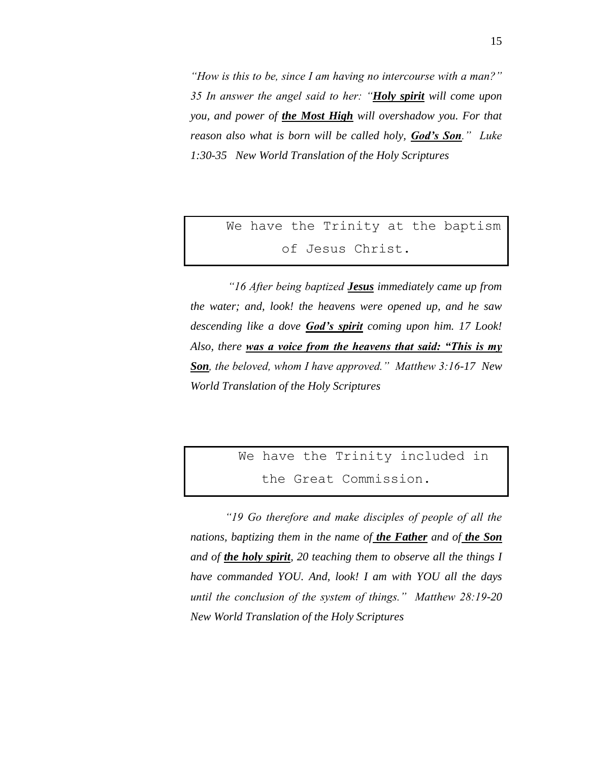*"How is this to be, since I am having no intercourse with a man?" 35 In answer the angel said to her: "Holy spirit will come upon you, and power of the Most High will overshadow you. For that reason also what is born will be called holy, God's Son." Luke 1:30-35 New World Translation of the Holy Scriptures*

## We have the Trinity at the baptism of Jesus Christ.

*"16 After being baptized Jesus immediately came up from the water; and, look! the heavens were opened up, and he saw descending like a dove God's spirit coming upon him. 17 Look! Also, there was a voice from the heavens that said: "This is my Son, the beloved, whom I have approved." Matthew 3:16-17 New World Translation of the Holy Scriptures*

```
We have the Trinity included in 
the Great Commission.
```
*"19 Go therefore and make disciples of people of all the nations, baptizing them in the name of the Father and of the Son and of the holy spirit, 20 teaching them to observe all the things I have commanded YOU. And, look! I am with YOU all the days until the conclusion of the system of things." Matthew 28:19-20 New World Translation of the Holy Scriptures*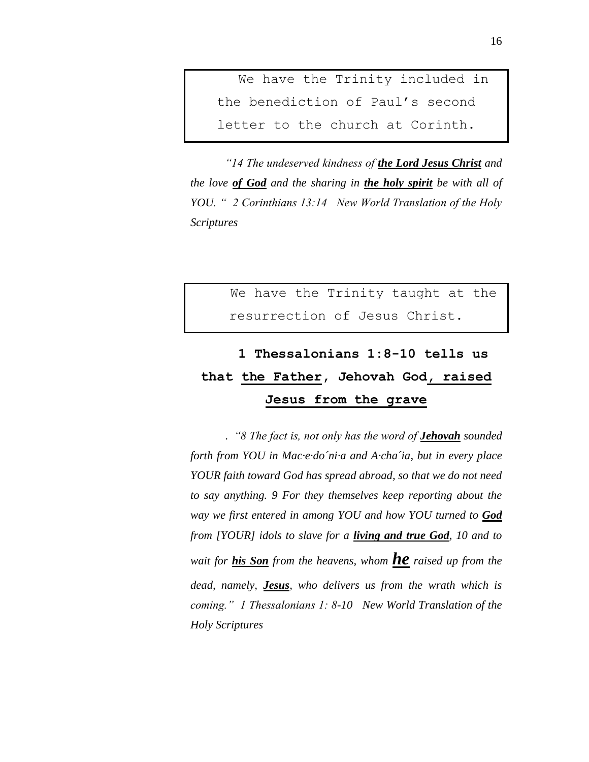We have the Trinity included in the benediction of Paul's second letter to the church at Corinth.

*"14 The undeserved kindness of the Lord Jesus Christ and the love of God and the sharing in the holy spirit be with all of YOU. " 2 Corinthians 13:14 New World Translation of the Holy Scriptures*

> We have the Trinity taught at the resurrection of Jesus Christ.

## **1 Thessalonians 1:8-10 tells us that the Father, Jehovah God, raised Jesus from the grave**

. *"8 The fact is, not only has the word of Jehovah sounded forth from YOU in Mac·e·do´ni·a and A·cha´ia, but in every place YOUR faith toward God has spread abroad, so that we do not need to say anything. 9 For they themselves keep reporting about the way we first entered in among YOU and how YOU turned to God from [YOUR] idols to slave for a living and true God, 10 and to wait for his Son from the heavens, whom he raised up from the dead, namely, Jesus, who delivers us from the wrath which is coming." 1 Thessalonians 1: 8-10 New World Translation of the Holy Scriptures*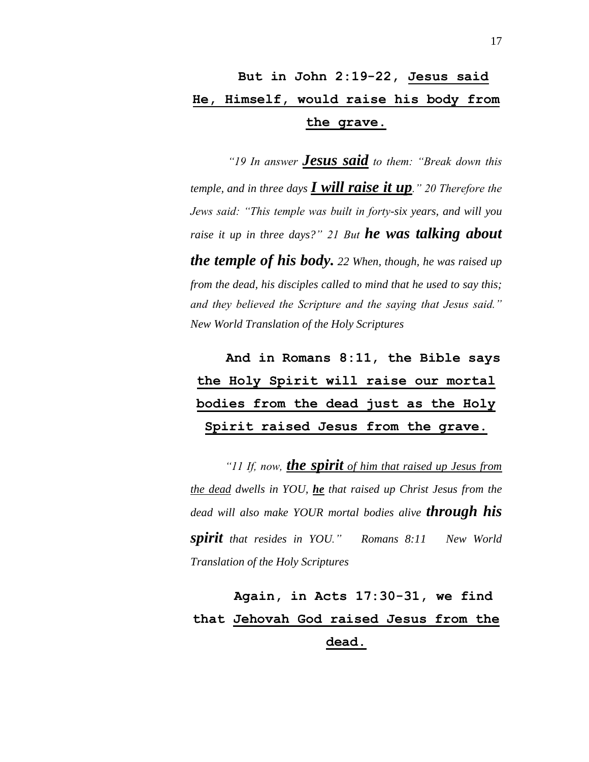## **But in John 2:19-22, Jesus said He, Himself, would raise his body from the grave.**

*"19 In answer Jesus said to them: "Break down this temple, and in three days I will raise it up." 20 Therefore the Jews said: "This temple was built in forty-six years, and will you raise it up in three days?" 21 But he was talking about the temple of his body. 22 When, though, he was raised up from the dead, his disciples called to mind that he used to say this; and they believed the Scripture and the saying that Jesus said." New World Translation of the Holy Scriptures*

## **And in Romans 8:11, the Bible says the Holy Spirit will raise our mortal bodies from the dead just as the Holy Spirit raised Jesus from the grave.**

*"11 If, now, the spirit of him that raised up Jesus from the dead dwells in YOU, he that raised up Christ Jesus from the dead will also make YOUR mortal bodies alive through his spirit that resides in YOU." Romans 8:11 New World Translation of the Holy Scriptures*

**Again, in Acts 17:30-31, we find that Jehovah God raised Jesus from the dead.**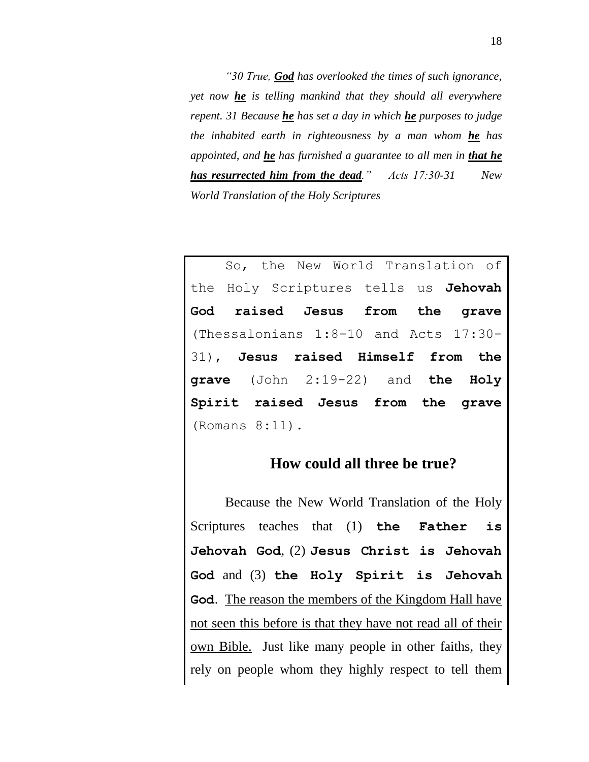*"30 True, God has overlooked the times of such ignorance, yet now he is telling mankind that they should all everywhere repent. 31 Because he has set a day in which he purposes to judge the inhabited earth in righteousness by a man whom he has appointed, and he has furnished a guarantee to all men in that he has resurrected him from the dead." Acts 17:30-31 New World Translation of the Holy Scriptures*

So, the New World Translation of the Holy Scriptures tells us **Jehovah God raised Jesus from the grave**  (Thessalonians 1:8-10 and Acts 17:30- 31), **Jesus raised Himself from the grave** (John 2:19-22) and **the Holy Spirit raised Jesus from the grave**  (Romans 8:11).

#### **How could all three be true?**

Because the New World Translation of the Holy Scriptures teaches that (1) **the Father is Jehovah God**, (2) **Jesus Christ is Jehovah God** and (3) **the Holy Spirit is Jehovah God**. The reason the members of the Kingdom Hall have not seen this before is that they have not read all of their own Bible. Just like many people in other faiths, they rely on people whom they highly respect to tell them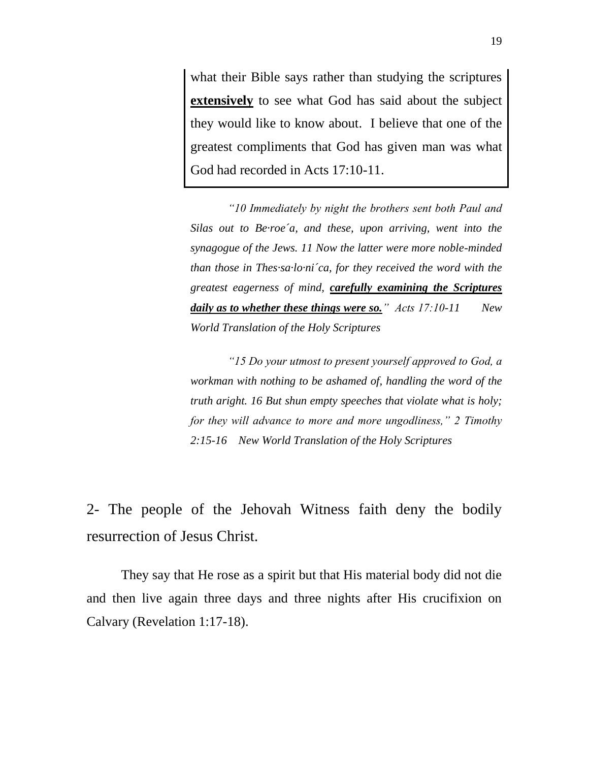what their Bible says rather than studying the scriptures **extensively** to see what God has said about the subject they would like to know about. I believe that one of the greatest compliments that God has given man was what God had recorded in Acts 17:10-11.

*"10 Immediately by night the brothers sent both Paul and Silas out to Be·roe´a, and these, upon arriving, went into the synagogue of the Jews. 11 Now the latter were more noble-minded than those in Thes·sa·lo·ni´ca, for they received the word with the greatest eagerness of mind, carefully examining the Scriptures daily as to whether these things were so." Acts 17:10-11 New World Translation of the Holy Scriptures*

*"15 Do your utmost to present yourself approved to God, a workman with nothing to be ashamed of, handling the word of the truth aright. 16 But shun empty speeches that violate what is holy; for they will advance to more and more ungodliness," 2 Timothy 2:15-16 New World Translation of the Holy Scriptures*

2- The people of the Jehovah Witness faith deny the bodily resurrection of Jesus Christ.

They say that He rose as a spirit but that His material body did not die and then live again three days and three nights after His crucifixion on Calvary (Revelation 1:17-18).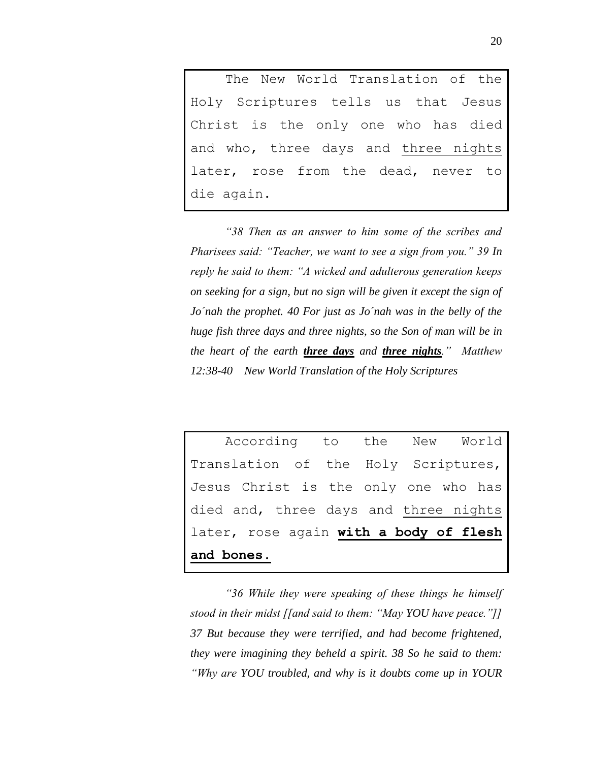The New World Translation of the Holy Scriptures tells us that Jesus Christ is the only one who has died and who, three days and three nights later, rose from the dead, never to die again.

*"38 Then as an answer to him some of the scribes and Pharisees said: "Teacher, we want to see a sign from you." 39 In reply he said to them: "A wicked and adulterous generation keeps on seeking for a sign, but no sign will be given it except the sign of Jo´nah the prophet. 40 For just as Jo´nah was in the belly of the huge fish three days and three nights, so the Son of man will be in the heart of the earth three days and three nights." Matthew 12:38-40 New World Translation of the Holy Scriptures* 

According to the New World Translation of the Holy Scriptures, Jesus Christ is the only one who has died and, three days and three nights later, rose again **with a body of flesh and bones.**

*"36 While they were speaking of these things he himself stood in their midst [[and said to them: "May YOU have peace."]] 37 But because they were terrified, and had become frightened, they were imagining they beheld a spirit. 38 So he said to them: "Why are YOU troubled, and why is it doubts come up in YOUR*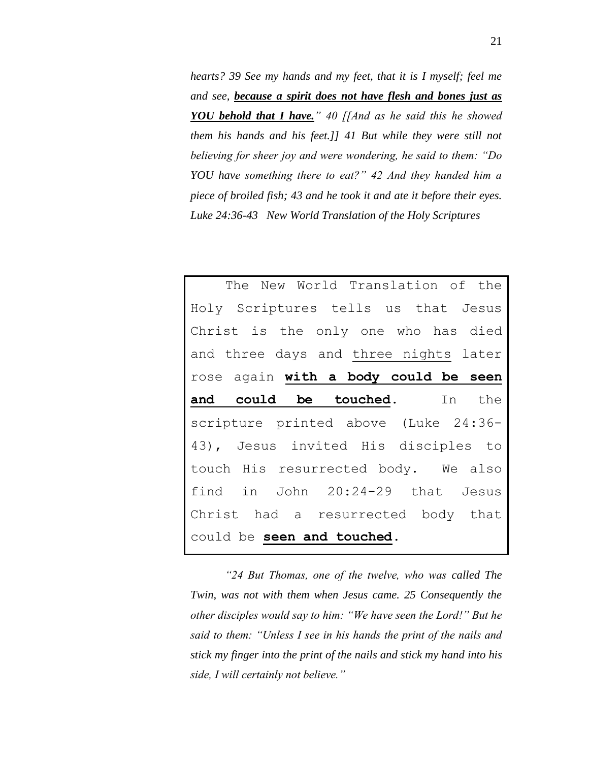*hearts? 39 See my hands and my feet, that it is I myself; feel me and see, because a spirit does not have flesh and bones just as YOU behold that I have." 40 [[And as he said this he showed them his hands and his feet.]] 41 But while they were still not believing for sheer joy and were wondering, he said to them: "Do YOU have something there to eat?" 42 And they handed him a piece of broiled fish; 43 and he took it and ate it before their eyes. Luke 24:36-43 New World Translation of the Holy Scriptures*

The New World Translation of the Holy Scriptures tells us that Jesus Christ is the only one who has died and three days and three nights later rose again **with a body could be seen and could be touched**. In the scripture printed above (Luke 24:36- 43), Jesus invited His disciples to touch His resurrected body. We also find in John 20:24-29 that Jesus Christ had a resurrected body that could be **seen and touched**.

*"24 But Thomas, one of the twelve, who was called The Twin, was not with them when Jesus came. 25 Consequently the other disciples would say to him: "We have seen the Lord!" But he said to them: "Unless I see in his hands the print of the nails and stick my finger into the print of the nails and stick my hand into his side, I will certainly not believe."*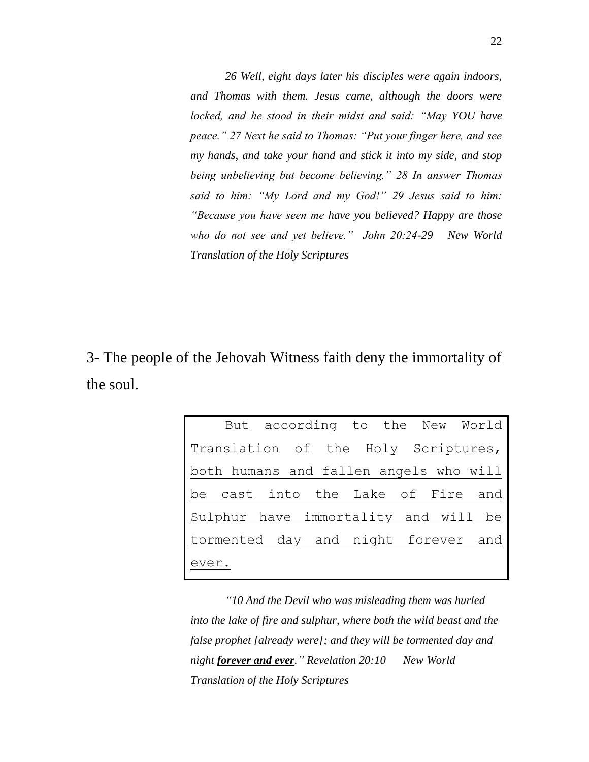*26 Well, eight days later his disciples were again indoors, and Thomas with them. Jesus came, although the doors were locked, and he stood in their midst and said: "May YOU have peace." 27 Next he said to Thomas: "Put your finger here, and see my hands, and take your hand and stick it into my side, and stop being unbelieving but become believing." 28 In answer Thomas said to him: "My Lord and my God!" 29 Jesus said to him: "Because you have seen me have you believed? Happy are those who do not see and yet believe." John 20:24-29 New World Translation of the Holy Scriptures*

3- The people of the Jehovah Witness faith deny the immortality of the soul.

|                                        |  | But according to the New World |  |  |
|----------------------------------------|--|--------------------------------|--|--|
| Translation of the Holy Scriptures,    |  |                                |  |  |
| both humans and fallen angels who will |  |                                |  |  |
| be cast into the Lake of Fire and      |  |                                |  |  |
| Sulphur have immortality and will be   |  |                                |  |  |
| tormented day and night forever and    |  |                                |  |  |
| ever.                                  |  |                                |  |  |

*"10 And the Devil who was misleading them was hurled into the lake of fire and sulphur, where both the wild beast and the false prophet [already were]; and they will be tormented day and night forever and ever." Revelation 20:10 New World Translation of the Holy Scriptures*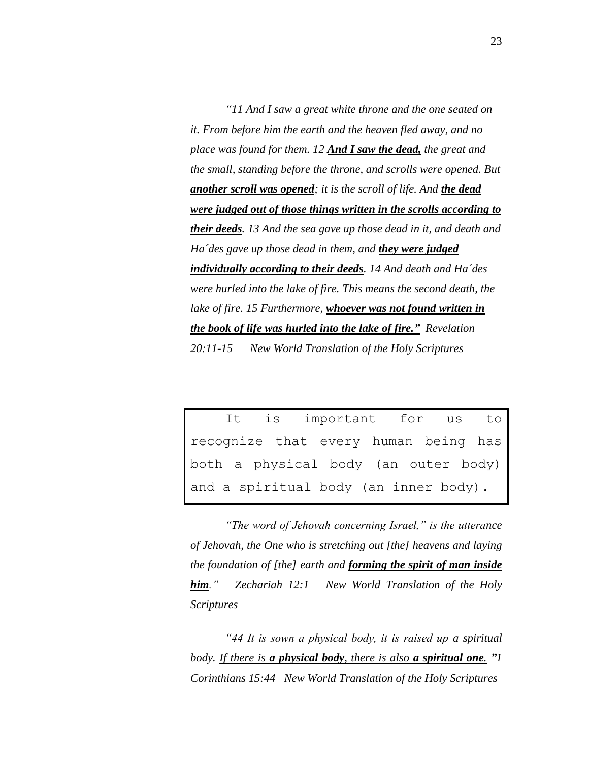*"11 And I saw a great white throne and the one seated on it. From before him the earth and the heaven fled away, and no place was found for them. 12 And I saw the dead, the great and the small, standing before the throne, and scrolls were opened. But another scroll was opened; it is the scroll of life. And the dead were judged out of those things written in the scrolls according to their deeds. 13 And the sea gave up those dead in it, and death and Ha´des gave up those dead in them, and they were judged individually according to their deeds. 14 And death and Ha´des were hurled into the lake of fire. This means the second death, the lake of fire. 15 Furthermore, whoever was not found written in the book of life was hurled into the lake of fire." Revelation 20:11-15 New World Translation of the Holy Scriptures*

It is important for us to recognize that every human being has both a physical body (an outer body) and a spiritual body (an inner body).

*"The word of Jehovah concerning Israel," is the utterance of Jehovah, the One who is stretching out [the] heavens and laying the foundation of [the] earth and forming the spirit of man inside him." Zechariah 12:1 New World Translation of the Holy Scriptures*

*"44 It is sown a physical body, it is raised up a spiritual body. If there is a physical body, there is also a spiritual one. "1 Corinthians 15:44 New World Translation of the Holy Scriptures*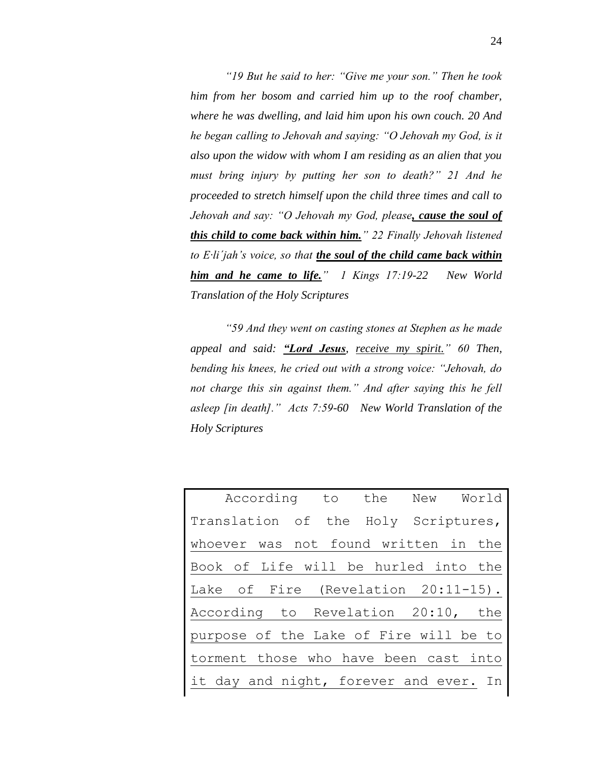*"19 But he said to her: "Give me your son." Then he took him from her bosom and carried him up to the roof chamber, where he was dwelling, and laid him upon his own couch. 20 And he began calling to Jehovah and saying: "O Jehovah my God, is it also upon the widow with whom I am residing as an alien that you must bring injury by putting her son to death?" 21 And he proceeded to stretch himself upon the child three times and call to Jehovah and say: "O Jehovah my God, please, cause the soul of this child to come back within him." 22 Finally Jehovah listened to E·li´jah's voice, so that the soul of the child came back within him and he came to life." 1 Kings 17:19-22 New World Translation of the Holy Scriptures*

*"59 And they went on casting stones at Stephen as he made appeal and said: "Lord Jesus, receive my spirit." 60 Then, bending his knees, he cried out with a strong voice: "Jehovah, do not charge this sin against them." And after saying this he fell asleep [in death]." Acts 7:59-60 New World Translation of the Holy Scriptures*

| According to the New World             |  |  |
|----------------------------------------|--|--|
| Translation of the Holy Scriptures,    |  |  |
| whoever was not found written in the   |  |  |
| Book of Life will be hurled into the   |  |  |
| Lake of Fire (Revelation 20:11-15).    |  |  |
| According to Revelation 20:10, the     |  |  |
| purpose of the Lake of Fire will be to |  |  |
| torment those who have been cast into  |  |  |
| it day and night, forever and ever. In |  |  |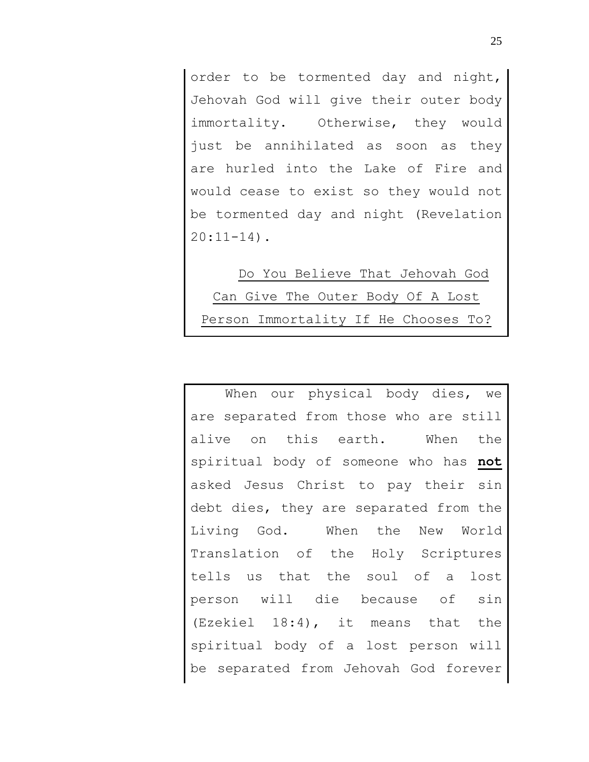order to be tormented day and night, Jehovah God will give their outer body immortality. Otherwise, they would just be annihilated as soon as they are hurled into the Lake of Fire and would cease to exist so they would not be tormented day and night (Revelation  $20:11-14$ .

Do You Believe That Jehovah God Can Give The Outer Body Of A Lost Person Immortality If He Chooses To?

When our physical body dies, we are separated from those who are still alive on this earth. When the spiritual body of someone who has **not** asked Jesus Christ to pay their sin debt dies, they are separated from the Living God. When the New World Translation of the Holy Scriptures tells us that the soul of a lost person will die because of sin (Ezekiel 18:4), it means that the spiritual body of a lost person will be separated from Jehovah God forever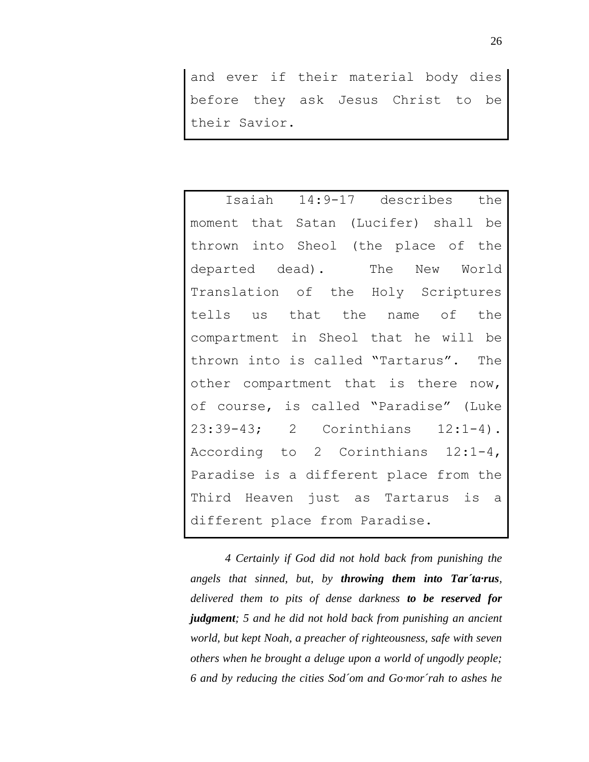and ever if their material body dies before they ask Jesus Christ to be their Savior.

Isaiah 14:9-17 describes the moment that Satan (Lucifer) shall be thrown into Sheol (the place of the departed dead). The New World Translation of the Holy Scriptures tells us that the name of the compartment in Sheol that he will be thrown into is called "Tartarus". The other compartment that is there now, of course, is called "Paradise" (Luke 23:39-43; 2 Corinthians 12:1-4). According to 2 Corinthians 12:1-4, Paradise is a different place from the Third Heaven just as Tartarus is a different place from Paradise.

*4 Certainly if God did not hold back from punishing the angels that sinned, but, by throwing them into Tar´ta·rus, delivered them to pits of dense darkness to be reserved for judgment; 5 and he did not hold back from punishing an ancient world, but kept Noah, a preacher of righteousness, safe with seven others when he brought a deluge upon a world of ungodly people; 6 and by reducing the cities Sod´om and Go·mor´rah to ashes he*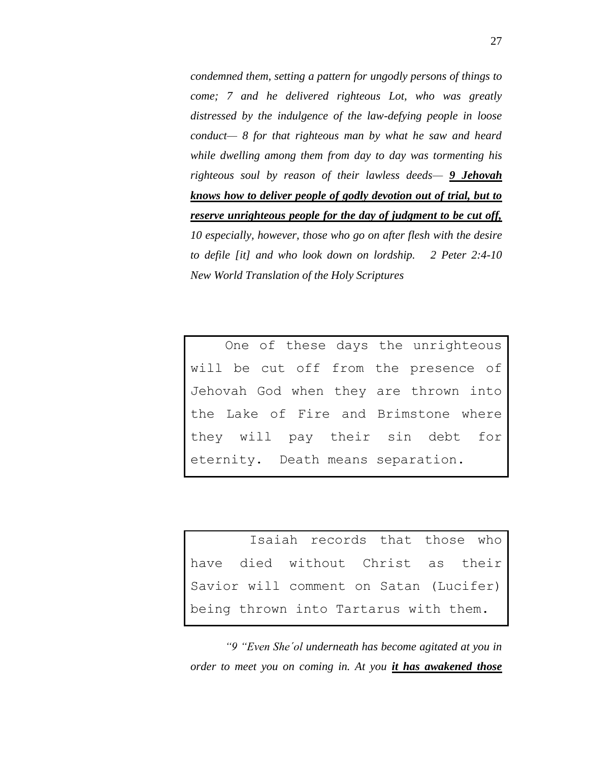*condemned them, setting a pattern for ungodly persons of things to come; 7 and he delivered righteous Lot, who was greatly distressed by the indulgence of the law-defying people in loose conduct— 8 for that righteous man by what he saw and heard while dwelling among them from day to day was tormenting his righteous soul by reason of their lawless deeds— 9 Jehovah knows how to deliver people of godly devotion out of trial, but to reserve unrighteous people for the day of judgment to be cut off, 10 especially, however, those who go on after flesh with the desire to defile [it] and who look down on lordship. 2 Peter 2:4-10 New World Translation of the Holy Scriptures*

One of these days the unrighteous will be cut off from the presence of Jehovah God when they are thrown into the Lake of Fire and Brimstone where they will pay their sin debt for eternity. Death means separation.

 Isaiah records that those who have died without Christ as their Savior will comment on Satan (Lucifer) being thrown into Tartarus with them.

*"9 "Even She´ol underneath has become agitated at you in order to meet you on coming in. At you it has awakened those*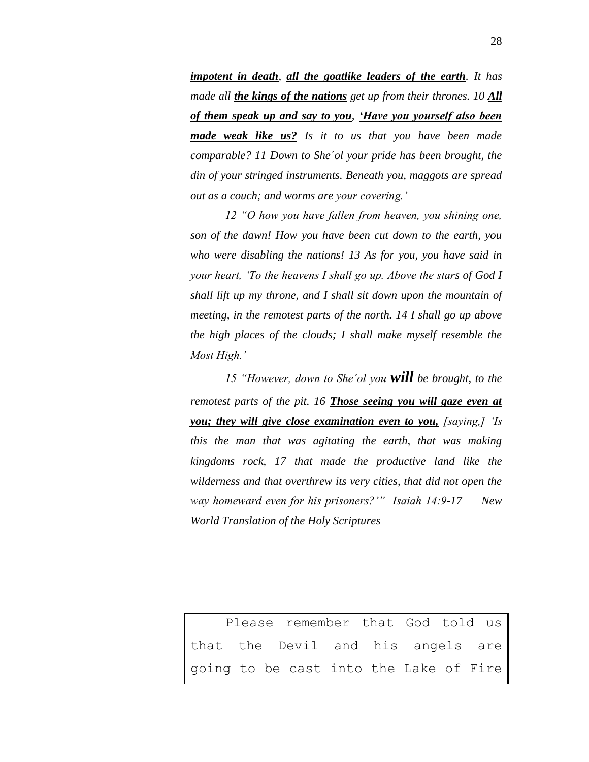*impotent in death, all the goatlike leaders of the earth. It has made all the kings of the nations get up from their thrones. 10 All of them speak up and say to you, 'Have you yourself also been made weak like us? Is it to us that you have been made comparable? 11 Down to She´ol your pride has been brought, the din of your stringed instruments. Beneath you, maggots are spread out as a couch; and worms are your covering.'* 

*12 "O how you have fallen from heaven, you shining one, son of the dawn! How you have been cut down to the earth, you who were disabling the nations! 13 As for you, you have said in your heart, 'To the heavens I shall go up. Above the stars of God I shall lift up my throne, and I shall sit down upon the mountain of meeting, in the remotest parts of the north. 14 I shall go up above the high places of the clouds; I shall make myself resemble the Most High.'* 

*15 "However, down to She´ol you will be brought, to the remotest parts of the pit. 16 Those seeing you will gaze even at you; they will give close examination even to you, [saying,] 'Is this the man that was agitating the earth, that was making kingdoms rock, 17 that made the productive land like the wilderness and that overthrew its very cities, that did not open the way homeward even for his prisoners?'" Isaiah 14:9-17 New World Translation of the Holy Scriptures*

Please remember that God told us that the Devil and his angels are going to be cast into the Lake of Fire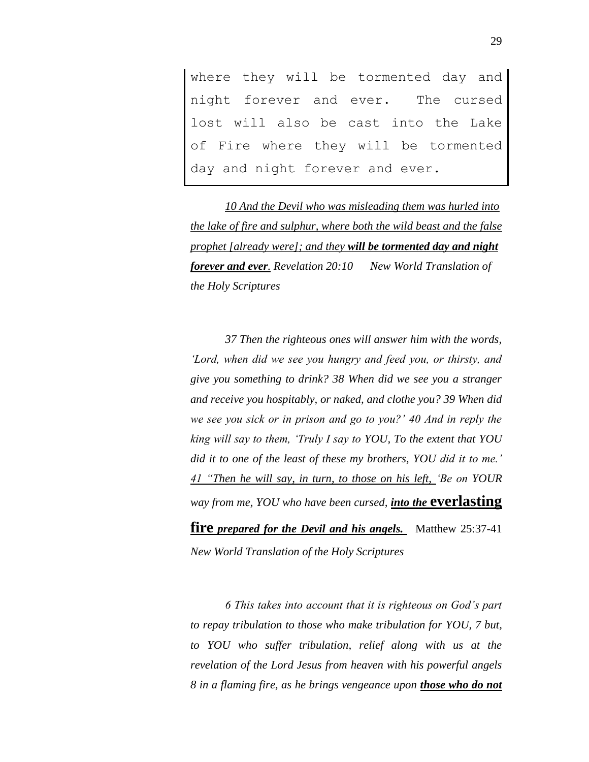where they will be tormented day and night forever and ever. The cursed lost will also be cast into the Lake of Fire where they will be tormented day and night forever and ever.

*10 And the Devil who was misleading them was hurled into the lake of fire and sulphur, where both the wild beast and the false prophet [already were]; and they will be tormented day and night forever and ever. Revelation 20:10 New World Translation of the Holy Scriptures*

*37 Then the righteous ones will answer him with the words, 'Lord, when did we see you hungry and feed you, or thirsty, and give you something to drink? 38 When did we see you a stranger and receive you hospitably, or naked, and clothe you? 39 When did we see you sick or in prison and go to you?' 40 And in reply the king will say to them, 'Truly I say to YOU, To the extent that YOU did it to one of the least of these my brothers, YOU did it to me.' 41 "Then he will say, in turn, to those on his left, 'Be on YOUR way from me, YOU who have been cursed, into the* **everlasting** 

**fire** *prepared for the Devil and his angels.* Matthew 25:37-41 *New World Translation of the Holy Scriptures*

*6 This takes into account that it is righteous on God's part to repay tribulation to those who make tribulation for YOU, 7 but, to YOU who suffer tribulation, relief along with us at the revelation of the Lord Jesus from heaven with his powerful angels 8 in a flaming fire, as he brings vengeance upon those who do not*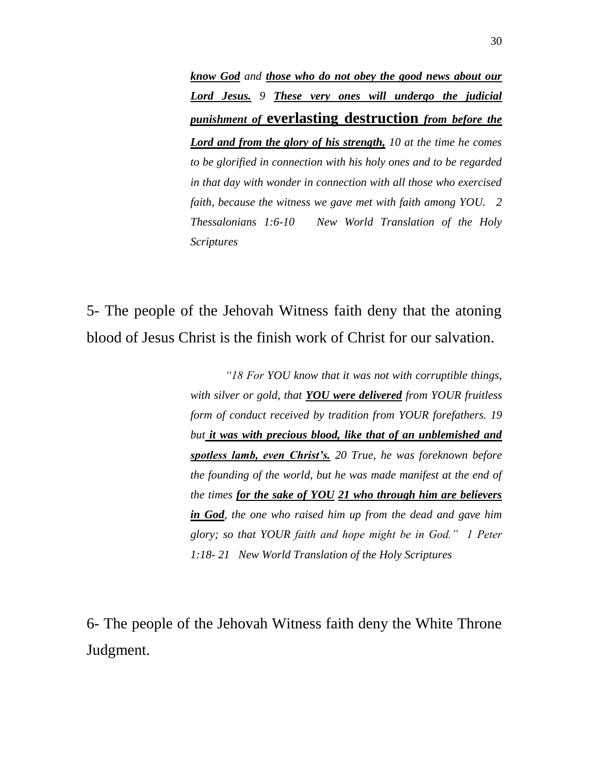*know God and those who do not obey the good news about our Lord Jesus. 9 These very ones will undergo the judicial punishment of* **everlasting destruction** *from before the Lord and from the glory of his strength, 10 at the time he comes to be glorified in connection with his holy ones and to be regarded in that day with wonder in connection with all those who exercised faith, because the witness we gave met with faith among YOU. 2 Thessalonians 1:6-10 New World Translation of the Holy Scriptures*

5- The people of the Jehovah Witness faith deny that the atoning blood of Jesus Christ is the finish work of Christ for our salvation.

> *"18 For YOU know that it was not with corruptible things, with silver or gold, that YOU were delivered from YOUR fruitless form of conduct received by tradition from YOUR forefathers. 19 but it was with precious blood, like that of an unblemished and spotless lamb, even Christ's. 20 True, he was foreknown before the founding of the world, but he was made manifest at the end of the times for the sake of YOU 21 who through him are believers in God, the one who raised him up from the dead and gave him glory; so that YOUR faith and hope might be in God." 1 Peter 1:18- 21 New World Translation of the Holy Scriptures*

6- The people of the Jehovah Witness faith deny the White Throne Judgment.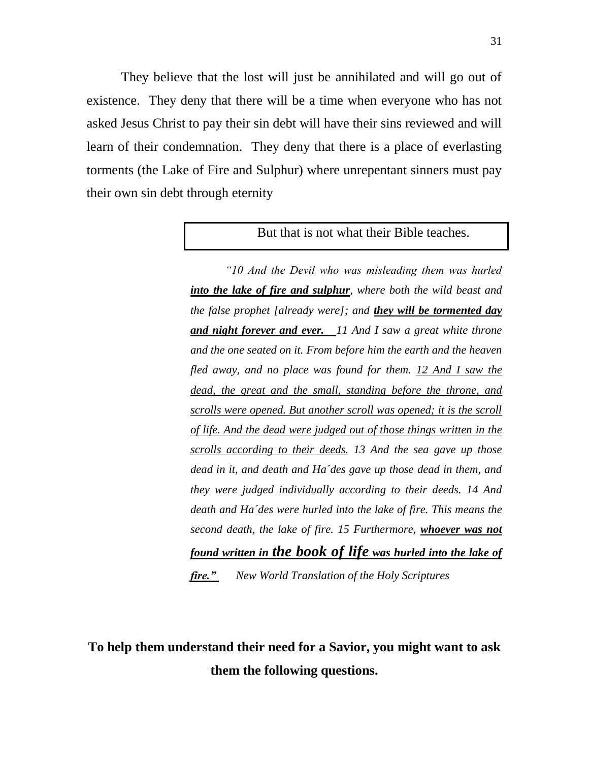They believe that the lost will just be annihilated and will go out of existence. They deny that there will be a time when everyone who has not asked Jesus Christ to pay their sin debt will have their sins reviewed and will learn of their condemnation. They deny that there is a place of everlasting torments (the Lake of Fire and Sulphur) where unrepentant sinners must pay their own sin debt through eternity

#### But that is not what their Bible teaches.

*"10 And the Devil who was misleading them was hurled into the lake of fire and sulphur, where both the wild beast and the false prophet [already were]; and they will be tormented day and night forever and ever. 11 And I saw a great white throne and the one seated on it. From before him the earth and the heaven fled away, and no place was found for them. 12 And I saw the dead, the great and the small, standing before the throne, and scrolls were opened. But another scroll was opened; it is the scroll of life. And the dead were judged out of those things written in the scrolls according to their deeds. 13 And the sea gave up those dead in it, and death and Ha´des gave up those dead in them, and they were judged individually according to their deeds. 14 And death and Ha´des were hurled into the lake of fire. This means the second death, the lake of fire. 15 Furthermore, whoever was not found written in the book of life was hurled into the lake of fire." New World Translation of the Holy Scriptures*

**To help them understand their need for a Savior, you might want to ask them the following questions.**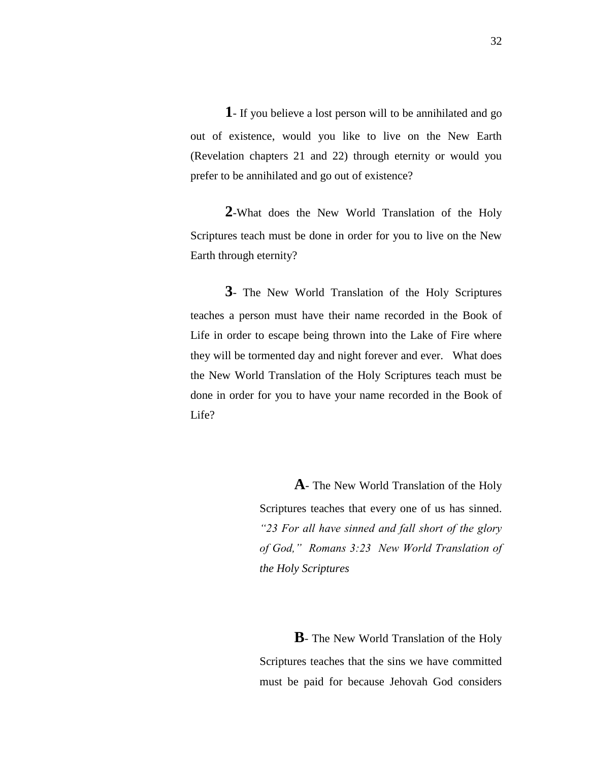**1**- If you believe a lost person will to be annihilated and go out of existence, would you like to live on the New Earth (Revelation chapters 21 and 22) through eternity or would you prefer to be annihilated and go out of existence?

**2**-What does the New World Translation of the Holy Scriptures teach must be done in order for you to live on the New Earth through eternity?

**3**- The New World Translation of the Holy Scriptures teaches a person must have their name recorded in the Book of Life in order to escape being thrown into the Lake of Fire where they will be tormented day and night forever and ever. What does the New World Translation of the Holy Scriptures teach must be done in order for you to have your name recorded in the Book of Life?

> **A**- The New World Translation of the Holy Scriptures teaches that every one of us has sinned. *"23 For all have sinned and fall short of the glory of God," Romans 3:23 New World Translation of the Holy Scriptures*

> **B**- The New World Translation of the Holy Scriptures teaches that the sins we have committed must be paid for because Jehovah God considers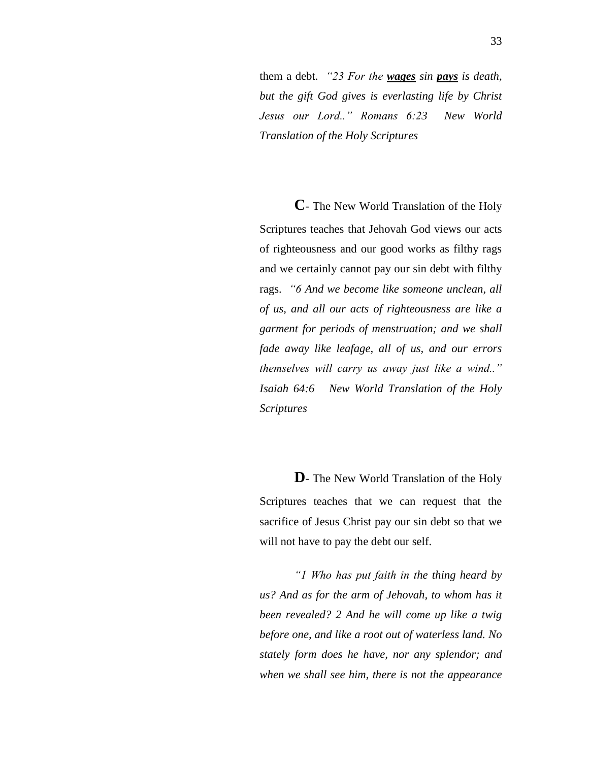them a debt. *"23 For the wages sin pays is death, but the gift God gives is everlasting life by Christ Jesus our Lord.." Romans 6:23 New World Translation of the Holy Scriptures*

**C**- The New World Translation of the Holy Scriptures teaches that Jehovah God views our acts of righteousness and our good works as filthy rags and we certainly cannot pay our sin debt with filthy rags. *"6 And we become like someone unclean, all of us, and all our acts of righteousness are like a garment for periods of menstruation; and we shall fade away like leafage, all of us, and our errors themselves will carry us away just like a wind.." Isaiah 64:6 New World Translation of the Holy Scriptures*

**D**- The New World Translation of the Holy Scriptures teaches that we can request that the sacrifice of Jesus Christ pay our sin debt so that we will not have to pay the debt our self.

*"1 Who has put faith in the thing heard by us? And as for the arm of Jehovah, to whom has it been revealed? 2 And he will come up like a twig before one, and like a root out of waterless land. No stately form does he have, nor any splendor; and when we shall see him, there is not the appearance*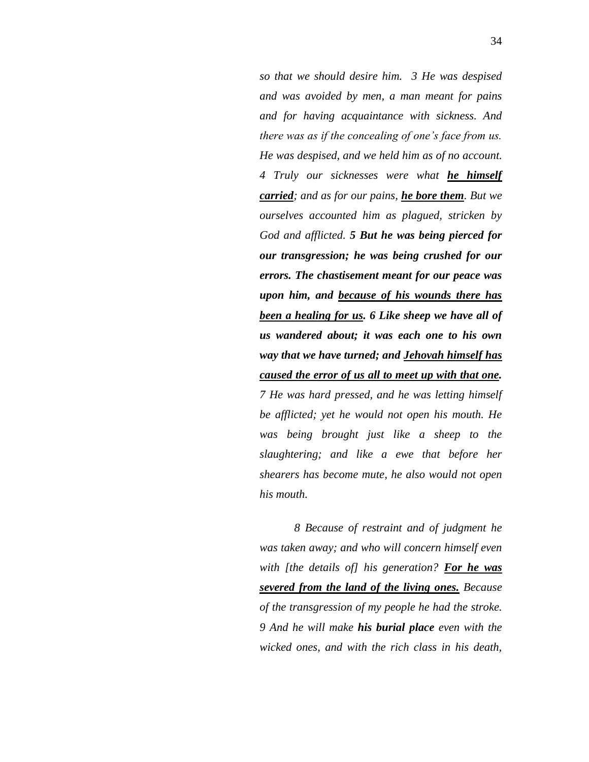*so that we should desire him. 3 He was despised and was avoided by men, a man meant for pains and for having acquaintance with sickness. And there was as if the concealing of one's face from us. He was despised, and we held him as of no account. 4 Truly our sicknesses were what he himself carried; and as for our pains, he bore them. But we ourselves accounted him as plagued, stricken by God and afflicted. 5 But he was being pierced for our transgression; he was being crushed for our errors. The chastisement meant for our peace was upon him, and because of his wounds there has been a healing for us. 6 Like sheep we have all of us wandered about; it was each one to his own way that we have turned; and Jehovah himself has caused the error of us all to meet up with that one. 7 He was hard pressed, and he was letting himself be afflicted; yet he would not open his mouth. He was being brought just like a sheep to the slaughtering; and like a ewe that before her shearers has become mute, he also would not open his mouth.* 

*8 Because of restraint and of judgment he was taken away; and who will concern himself even with [the details of] his generation? For he was severed from the land of the living ones. Because of the transgression of my people he had the stroke. 9 And he will make his burial place even with the wicked ones, and with the rich class in his death,*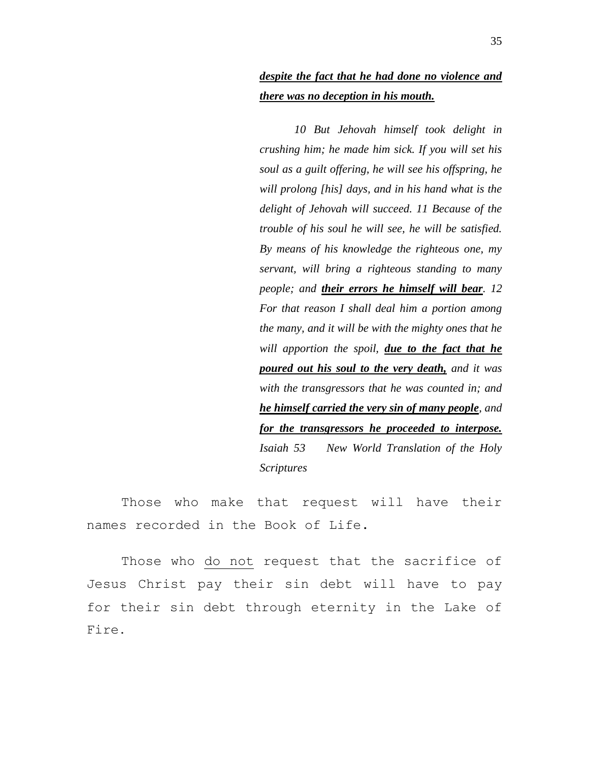#### *despite the fact that he had done no violence and there was no deception in his mouth.*

*10 But Jehovah himself took delight in crushing him; he made him sick. If you will set his soul as a guilt offering, he will see his offspring, he will prolong [his] days, and in his hand what is the delight of Jehovah will succeed. 11 Because of the trouble of his soul he will see, he will be satisfied. By means of his knowledge the righteous one, my servant, will bring a righteous standing to many people; and their errors he himself will bear. 12 For that reason I shall deal him a portion among the many, and it will be with the mighty ones that he will apportion the spoil, due to the fact that he poured out his soul to the very death, and it was with the transgressors that he was counted in; and he himself carried the very sin of many people, and for the transgressors he proceeded to interpose. Isaiah 53 New World Translation of the Holy Scriptures*

Those who make that request will have their names recorded in the Book of Life.

Those who do not request that the sacrifice of Jesus Christ pay their sin debt will have to pay for their sin debt through eternity in the Lake of Fire**.**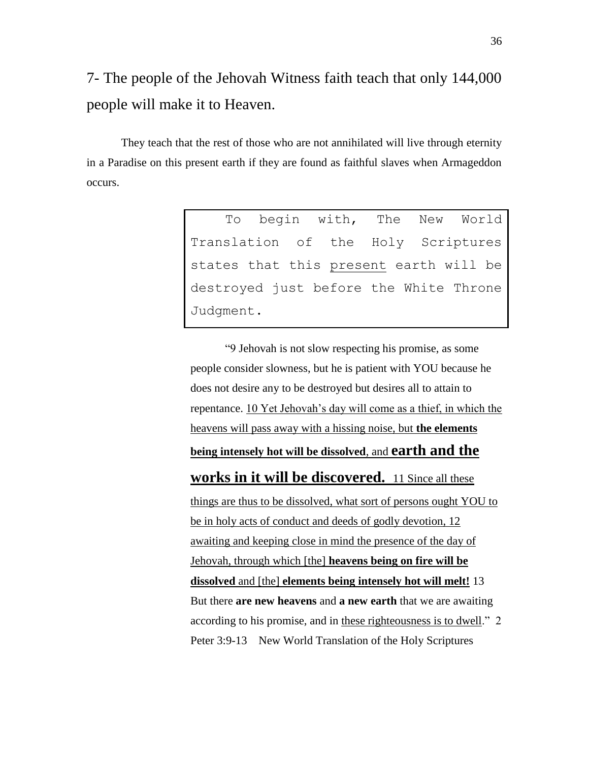7- The people of the Jehovah Witness faith teach that only 144,000 people will make it to Heaven.

They teach that the rest of those who are not annihilated will live through eternity in a Paradise on this present earth if they are found as faithful slaves when Armageddon occurs.

> To begin with, The New World Translation of the Holy Scriptures states that this present earth will be destroyed just before the White Throne Judgment.

> "9 Jehovah is not slow respecting his promise, as some people consider slowness, but he is patient with YOU because he does not desire any to be destroyed but desires all to attain to repentance. 10 Yet Jehovah's day will come as a thief, in which the heavens will pass away with a hissing noise, but **the elements being intensely hot will be dissolved**, and **earth and the works in it will be discovered.** 11 Since all these things are thus to be dissolved, what sort of persons ought YOU to be in holy acts of conduct and deeds of godly devotion, 12 awaiting and keeping close in mind the presence of the day of Jehovah, through which [the] **heavens being on fire will be dissolved** and [the] **elements being intensely hot will melt!** 13 But there **are new heavens** and **a new earth** that we are awaiting according to his promise, and in these righteousness is to dwell." 2 Peter 3:9-13 New World Translation of the Holy Scriptures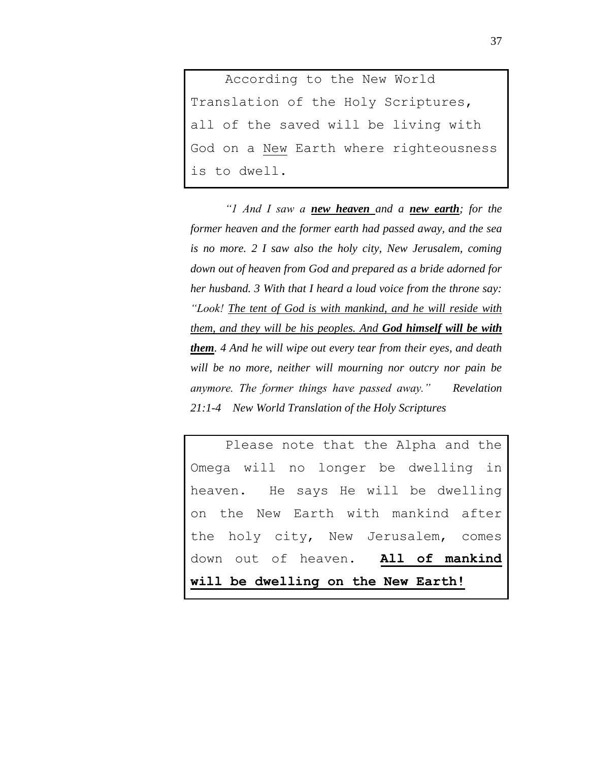According to the New World Translation of the Holy Scriptures, all of the saved will be living with God on a New Earth where righteousness is to dwell.

*"1 And I saw a new heaven and a new earth; for the former heaven and the former earth had passed away, and the sea is no more. 2 I saw also the holy city, New Jerusalem, coming down out of heaven from God and prepared as a bride adorned for her husband. 3 With that I heard a loud voice from the throne say: "Look! The tent of God is with mankind, and he will reside with them, and they will be his peoples. And God himself will be with them. 4 And he will wipe out every tear from their eyes, and death will be no more, neither will mourning nor outcry nor pain be anymore. The former things have passed away." Revelation 21:1-4 New World Translation of the Holy Scriptures*

Please note that the Alpha and the Omega will no longer be dwelling in heaven. He says He will be dwelling on the New Earth with mankind after the holy city, New Jerusalem, comes down out of heaven. **All of mankind will be dwelling on the New Earth!**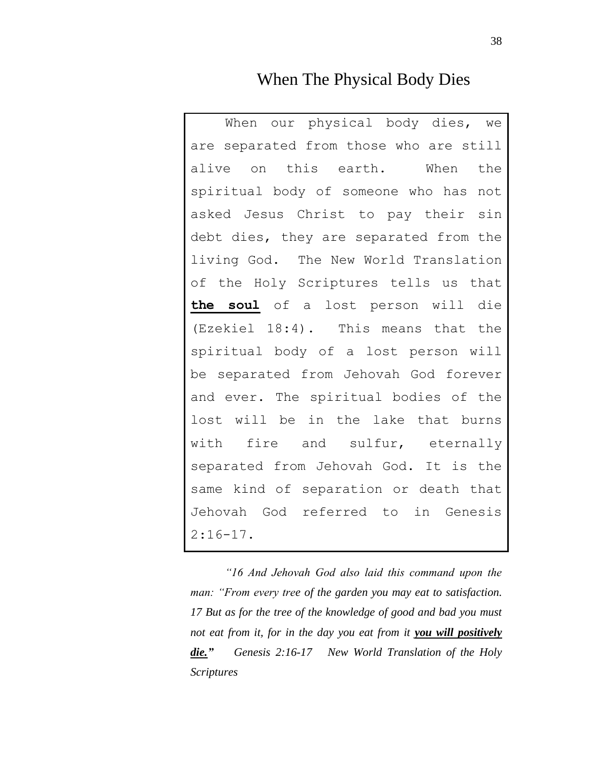#### When The Physical Body Dies

When our physical body dies, we are separated from those who are still alive on this earth. When the spiritual body of someone who has not asked Jesus Christ to pay their sin debt dies, they are separated from the living God. The New World Translation of the Holy Scriptures tells us that **the soul** of a lost person will die (Ezekiel 18:4). This means that the spiritual body of a lost person will be separated from Jehovah God forever and ever. The spiritual bodies of the lost will be in the lake that burns with fire and sulfur, eternally separated from Jehovah God. It is the same kind of separation or death that Jehovah God referred to in Genesis  $2:16-17$ .

*"16 And Jehovah God also laid this command upon the man: "From every tree of the garden you may eat to satisfaction. 17 But as for the tree of the knowledge of good and bad you must not eat from it, for in the day you eat from it you will positively die." Genesis 2:16-17 New World Translation of the Holy Scriptures*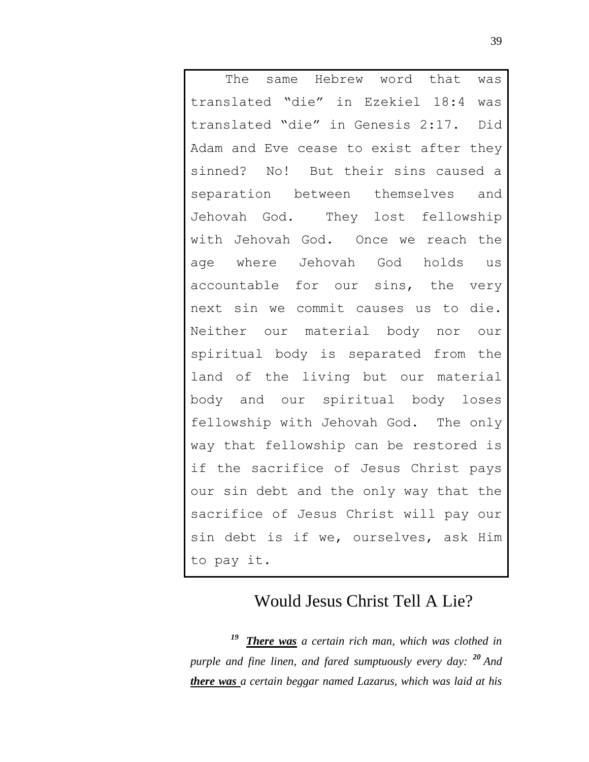The same Hebrew word that was translated "die" in Ezekiel 18:4 was translated "die" in Genesis 2:17. Did Adam and Eve cease to exist after they sinned? No! But their sins caused a separation between themselves and Jehovah God. They lost fellowship with Jehovah God. Once we reach the age where Jehovah God holds us accountable for our sins, the very next sin we commit causes us to die. Neither our material body nor our spiritual body is separated from the land of the living but our material body and our spiritual body loses fellowship with Jehovah God. The only way that fellowship can be restored is if the sacrifice of Jesus Christ pays our sin debt and the only way that the sacrifice of Jesus Christ will pay our sin debt is if we, ourselves, ask Him to pay it.

## Would Jesus Christ Tell A Lie?

*There was a certain rich man, which was clothed in purple and fine linen, and fared sumptuously every day: <sup>20</sup> And there was a certain beggar named Lazarus, which was laid at his*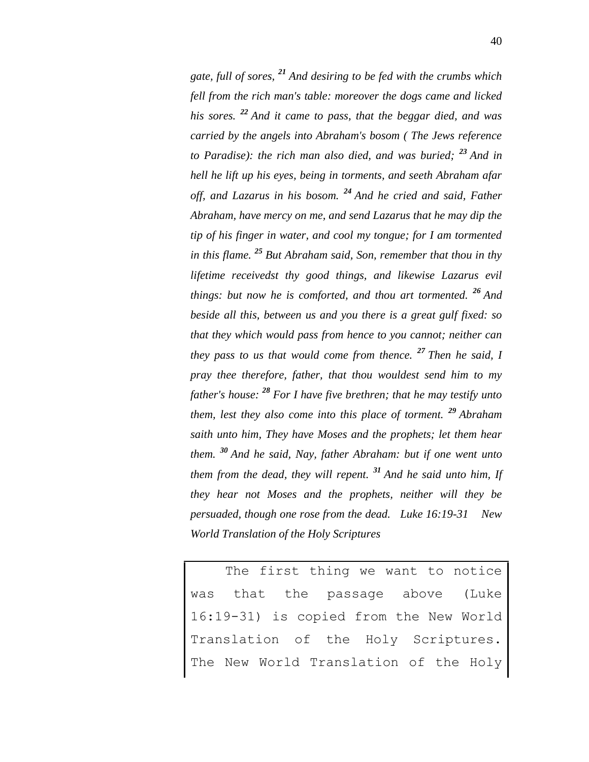*gate, full of sores, <sup>21</sup> And desiring to be fed with the crumbs which fell from the rich man's table: moreover the dogs came and licked his sores. <sup>22</sup> And it came to pass, that the beggar died, and was carried by the angels into Abraham's bosom ( The Jews reference to Paradise): the rich man also died, and was buried; <sup>23</sup> And in hell he lift up his eyes, being in torments, and seeth Abraham afar off, and Lazarus in his bosom. <sup>24</sup> And he cried and said, Father Abraham, have mercy on me, and send Lazarus that he may dip the tip of his finger in water, and cool my tongue; for I am tormented in this flame. <sup>25</sup> But Abraham said, Son, remember that thou in thy lifetime receivedst thy good things, and likewise Lazarus evil things: but now he is comforted, and thou art tormented. <sup>26</sup> And beside all this, between us and you there is a great gulf fixed: so that they which would pass from hence to you cannot; neither can they pass to us that would come from thence. <sup>27</sup> Then he said, I pray thee therefore, father, that thou wouldest send him to my father's house: <sup>28</sup> For I have five brethren; that he may testify unto them, lest they also come into this place of torment. <sup>29</sup> Abraham saith unto him, They have Moses and the prophets; let them hear them. <sup>30</sup> And he said, Nay, father Abraham: but if one went unto them from the dead, they will repent. <sup>31</sup> And he said unto him, If they hear not Moses and the prophets, neither will they be persuaded, though one rose from the dead. Luke 16:19-31 New World Translation of the Holy Scriptures*

The first thing we want to notice was that the passage above (Luke 16:19-31) is copied from the New World Translation of the Holy Scriptures. The New World Translation of the Holy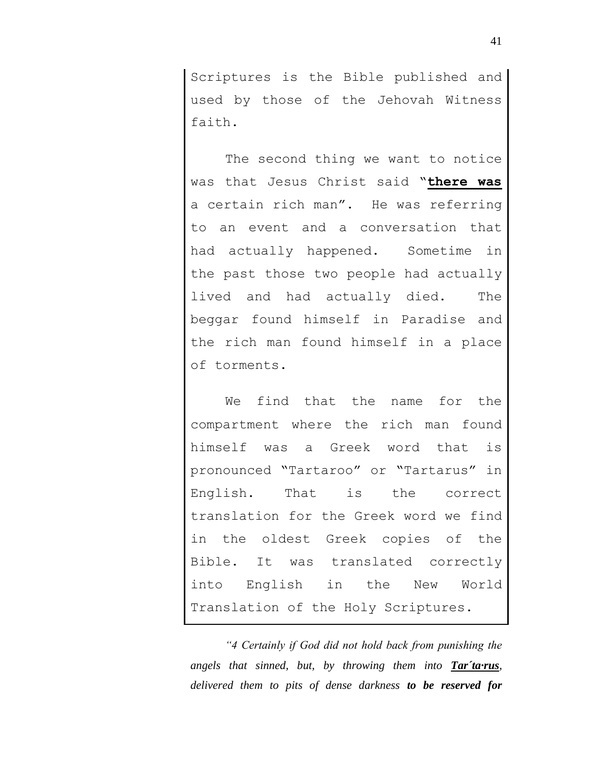Scriptures is the Bible published and used by those of the Jehovah Witness faith.

The second thing we want to notice was that Jesus Christ said "**there was** a certain rich man". He was referring to an event and a conversation that had actually happened. Sometime in the past those two people had actually lived and had actually died. The beggar found himself in Paradise and the rich man found himself in a place of torments.

We find that the name for the compartment where the rich man found himself was a Greek word that is pronounced "Tartaroo" or "Tartarus" in English. That is the correct translation for the Greek word we find in the oldest Greek copies of the Bible. It was translated correctly into English in the New World Translation of the Holy Scriptures.

*"4 Certainly if God did not hold back from punishing the angels that sinned, but, by throwing them into Tar´ta·rus, delivered them to pits of dense darkness to be reserved for*